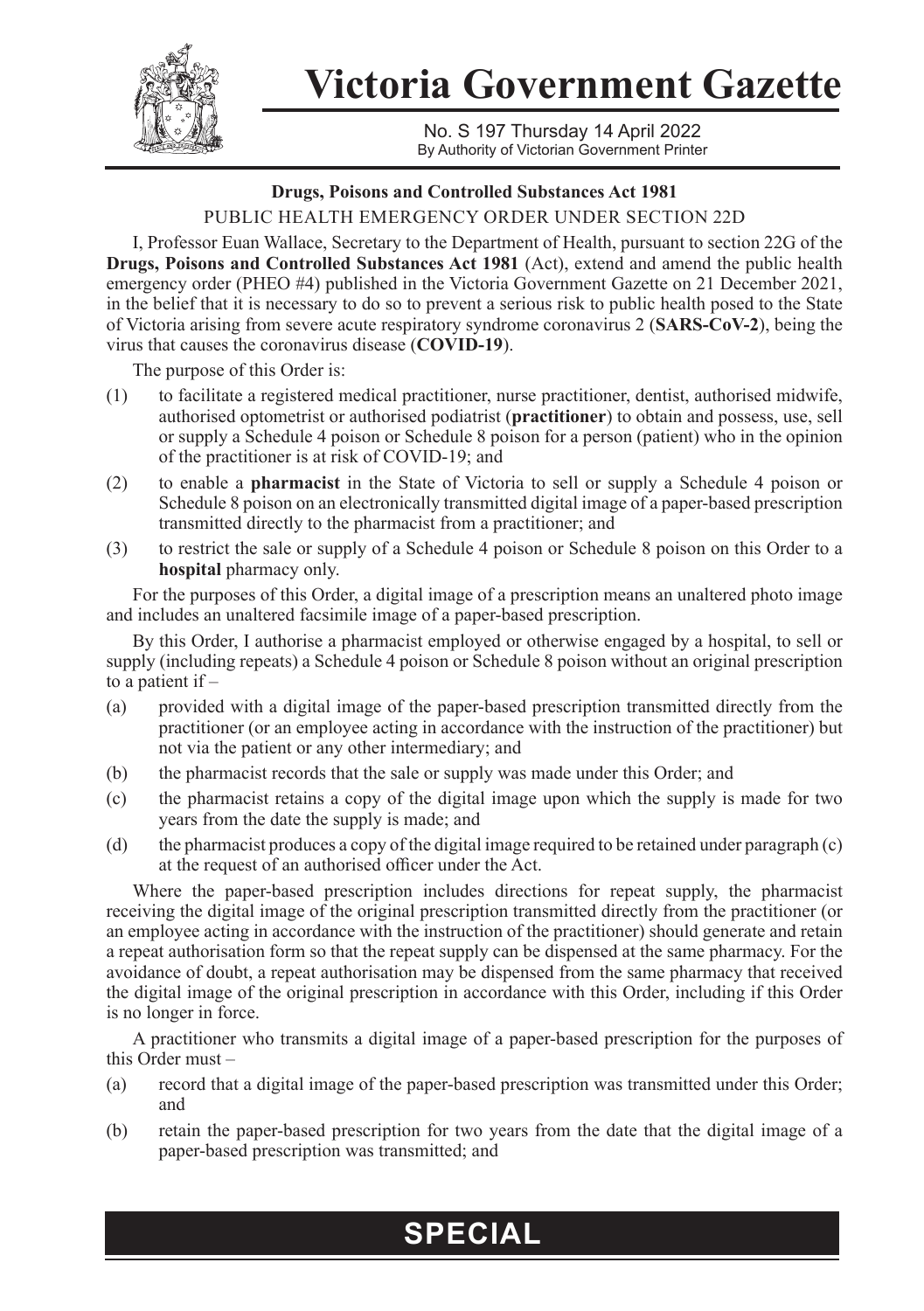

**Victoria Government Gazette**

No. S 197 Thursday 14 April 2022 By Authority of Victorian Government Printer

## **Drugs, Poisons and Controlled Substances Act 1981**

PUBLIC HEALTH EMERGENCY ORDER UNDER SECTION 22D

I, Professor Euan Wallace, Secretary to the Department of Health, pursuant to section 22G of the **Drugs, Poisons and Controlled Substances Act 1981** (Act), extend and amend the public health emergency order (PHEO #4) published in the Victoria Government Gazette on 21 December 2021, in the belief that it is necessary to do so to prevent a serious risk to public health posed to the State of Victoria arising from severe acute respiratory syndrome coronavirus 2 (**SARS-CoV-2**), being the virus that causes the coronavirus disease (**COVID-19**).

The purpose of this Order is:

- (1) to facilitate a registered medical practitioner, nurse practitioner, dentist, authorised midwife, authorised optometrist or authorised podiatrist (**practitioner**) to obtain and possess, use, sell or supply a Schedule 4 poison or Schedule 8 poison for a person (patient) who in the opinion of the practitioner is at risk of COVID-19; and
- (2) to enable a **pharmacist** in the State of Victoria to sell or supply a Schedule 4 poison or Schedule 8 poison on an electronically transmitted digital image of a paper-based prescription transmitted directly to the pharmacist from a practitioner; and
- (3) to restrict the sale or supply of a Schedule 4 poison or Schedule 8 poison on this Order to a **hospital** pharmacy only.

For the purposes of this Order, a digital image of a prescription means an unaltered photo image and includes an unaltered facsimile image of a paper-based prescription.

By this Order, I authorise a pharmacist employed or otherwise engaged by a hospital, to sell or supply (including repeats) a Schedule 4 poison or Schedule 8 poison without an original prescription to a patient if –

- (a) provided with a digital image of the paper-based prescription transmitted directly from the practitioner (or an employee acting in accordance with the instruction of the practitioner) but not via the patient or any other intermediary; and
- (b) the pharmacist records that the sale or supply was made under this Order; and
- (c) the pharmacist retains a copy of the digital image upon which the supply is made for two years from the date the supply is made; and
- (d) the pharmacist produces a copy of the digital image required to be retained under paragraph (c) at the request of an authorised officer under the Act.

Where the paper-based prescription includes directions for repeat supply, the pharmacist receiving the digital image of the original prescription transmitted directly from the practitioner (or an employee acting in accordance with the instruction of the practitioner) should generate and retain a repeat authorisation form so that the repeat supply can be dispensed at the same pharmacy. For the avoidance of doubt, a repeat authorisation may be dispensed from the same pharmacy that received the digital image of the original prescription in accordance with this Order, including if this Order is no longer in force.

A practitioner who transmits a digital image of a paper-based prescription for the purposes of this Order must –

- (a) record that a digital image of the paper-based prescription was transmitted under this Order; and
- (b) retain the paper-based prescription for two years from the date that the digital image of a paper-based prescription was transmitted; and

## **SPECIAL**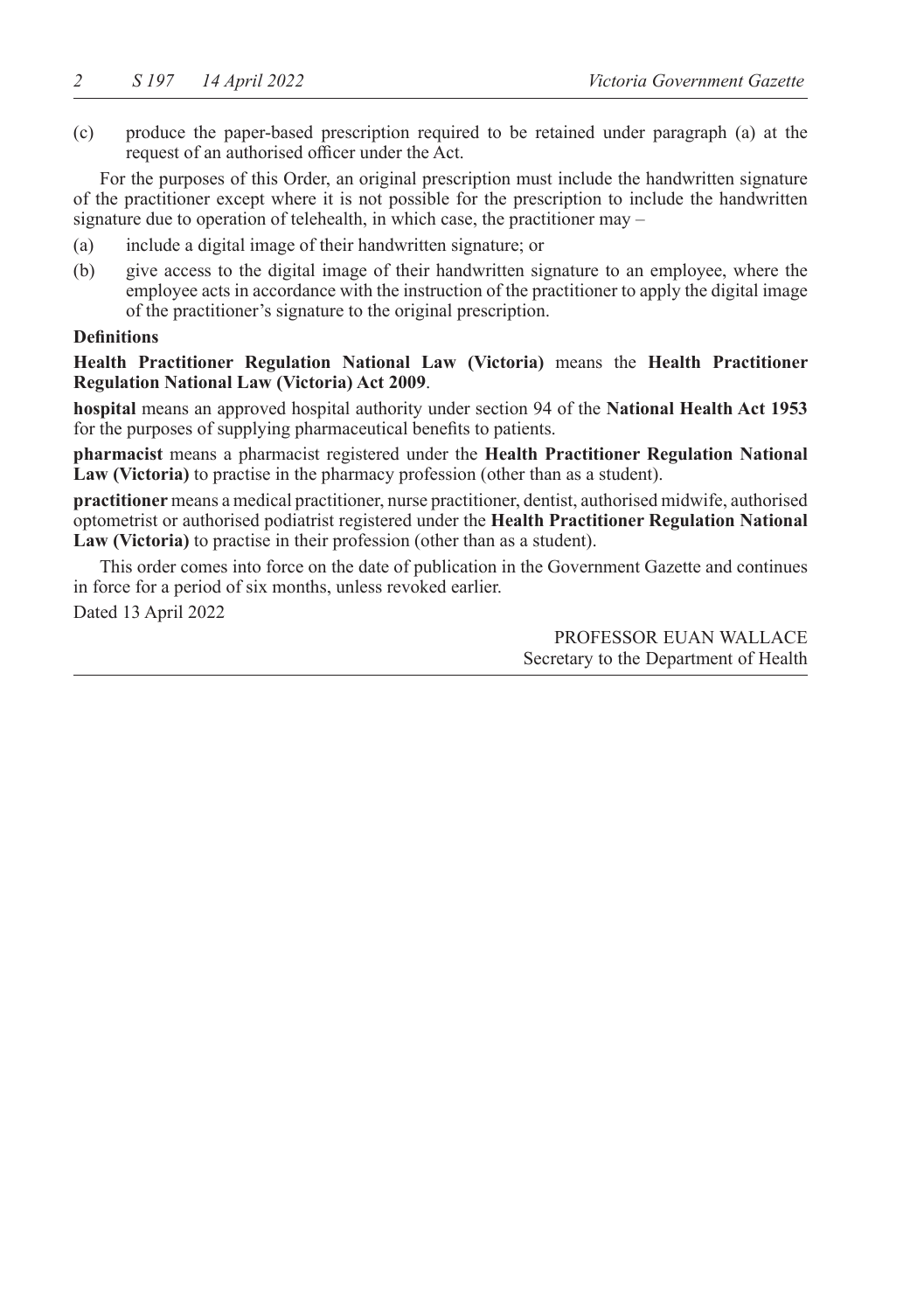(c) produce the paper-based prescription required to be retained under paragraph (a) at the request of an authorised officer under the Act.

For the purposes of this Order, an original prescription must include the handwritten signature of the practitioner except where it is not possible for the prescription to include the handwritten signature due to operation of telehealth, in which case, the practitioner may –

- (a) include a digital image of their handwritten signature; or
- (b) give access to the digital image of their handwritten signature to an employee, where the employee acts in accordance with the instruction of the practitioner to apply the digital image of the practitioner's signature to the original prescription.

## **Definitions**

**Health Practitioner Regulation National Law (Victoria)** means the **Health Practitioner Regulation National Law (Victoria) Act 2009**.

**hospital** means an approved hospital authority under section 94 of the **National Health Act 1953** for the purposes of supplying pharmaceutical benefits to patients.

**pharmacist** means a pharmacist registered under the **Health Practitioner Regulation National Law (Victoria)** to practise in the pharmacy profession (other than as a student).

**practitioner** means a medical practitioner, nurse practitioner, dentist, authorised midwife, authorised optometrist or authorised podiatrist registered under the **Health Practitioner Regulation National Law (Victoria)** to practise in their profession (other than as a student).

This order comes into force on the date of publication in the Government Gazette and continues in force for a period of six months, unless revoked earlier.

Dated 13 April 2022

PROFESSOR EUAN WALLACE Secretary to the Department of Health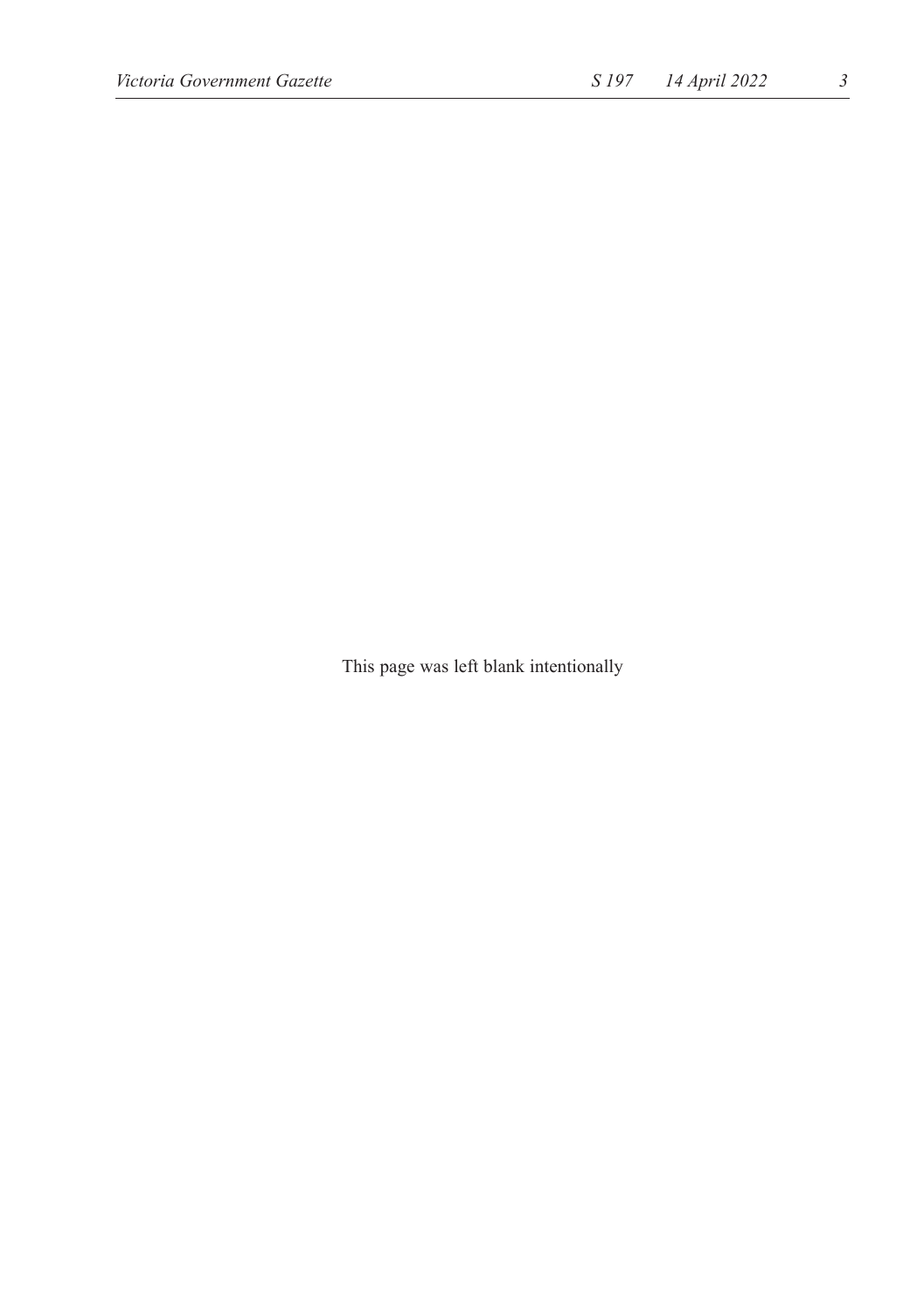This page was left blank intentionally